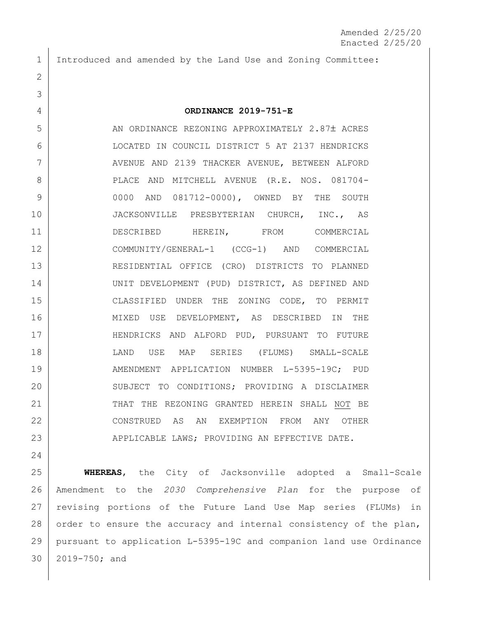1 Introduced and amended by the Land Use and Zoning Committee:

2

3

24

## 4 **ORDINANCE 2019-751-E**

5 AN ORDINANCE REZONING APPROXIMATELY 2.87± ACRES 6 LOCATED IN COUNCIL DISTRICT 5 AT 2137 HENDRICKS 7 AVENUE AND 2139 THACKER AVENUE, BETWEEN ALFORD 8 | PLACE AND MITCHELL AVENUE (R.E. NOS. 081704-9 0000 AND 081712-0000), OWNED BY THE SOUTH 10 JACKSONVILLE PRESBYTERIAN CHURCH, INC., AS 11 DESCRIBED HEREIN, FROM COMMERCIAL 12 COMMUNITY/GENERAL-1 (CCG-1) AND COMMERCIAL 13 RESIDENTIAL OFFICE (CRO) DISTRICTS TO PLANNED 14 UNIT DEVELOPMENT (PUD) DISTRICT, AS DEFINED AND 15 CLASSIFIED UNDER THE ZONING CODE, TO PERMIT 16 MIXED USE DEVELOPMENT, AS DESCRIBED IN THE 17 HENDRICKS AND ALFORD PUD, PURSUANT TO FUTURE 18 LAND USE MAP SERIES (FLUMS) SMALL-SCALE 19 | AMENDMENT APPLICATION NUMBER L-5395-19C; PUD 20 SUBJECT TO CONDITIONS; PROVIDING A DISCLAIMER 21 | THAT THE REZONING GRANTED HEREIN SHALL NOT BE 22 CONSTRUED AS AN EXEMPTION FROM ANY OTHER 23 APPLICABLE LAWS; PROVIDING AN EFFECTIVE DATE.

 **WHEREAS**, the City of Jacksonville adopted a Small-Scale Amendment to the *2030 Comprehensive Plan* for the purpose of revising portions of the Future Land Use Map series (FLUMs) in 28 order to ensure the accuracy and internal consistency of the plan, pursuant to application L-5395-19C and companion land use Ordinance 2019-750; and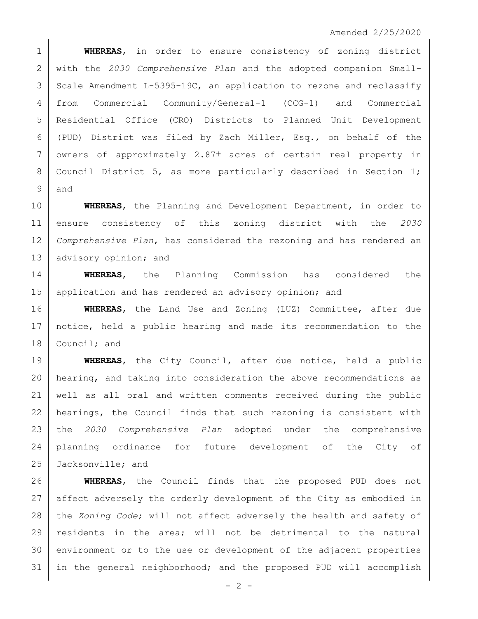## Amended 2/25/2020

 **WHEREAS**, in order to ensure consistency of zoning district with the *2030 Comprehensive Plan* and the adopted companion Small- Scale Amendment L-5395-19C, an application to rezone and reclassify from Commercial Community/General-1 (CCG-1) and Commercial Residential Office (CRO) Districts to Planned Unit Development (PUD) District was filed by Zach Miller, Esq., on behalf of the 7 owners of approximately 2.87± acres of certain real property in 8 | Council District 5, as more particularly described in Section 1; and

 **WHEREAS**, the Planning and Development Department, in order to ensure consistency of this zoning district with the *2030 Comprehensive Plan*, has considered the rezoning and has rendered an 13 advisory opinion; and

 **WHEREAS**, the Planning Commission has considered the 15 | application and has rendered an advisory opinion; and

 **WHEREAS**, the Land Use and Zoning (LUZ) Committee, after due notice, held a public hearing and made its recommendation to the 18 Council; and

 **WHEREAS**, the City Council, after due notice, held a public hearing, and taking into consideration the above recommendations as well as all oral and written comments received during the public 22 | hearings, the Council finds that such rezoning is consistent with the *2030 Comprehensive Plan* adopted under the comprehensive planning ordinance for future development of the City of 25 Jacksonville; and

 **WHEREAS**, the Council finds that the proposed PUD does not 27 affect adversely the orderly development of the City as embodied in the *Zoning Code*; will not affect adversely the health and safety of 29 | residents in the area; will not be detrimental to the natural 30 environment or to the use or development of the adjacent properties in the general neighborhood; and the proposed PUD will accomplish

 $- 2 -$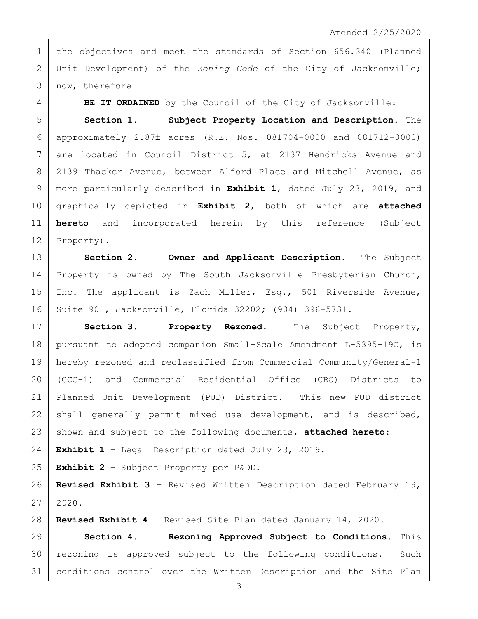1 | the objectives and meet the standards of Section 656.340 (Planned Unit Development) of the *Zoning Code* of the City of Jacksonville; now, therefore

**BE IT ORDAINED** by the Council of the City of Jacksonville:

 **Section 1. Subject Property Location and Description.** The 6 | approximately 2.87 $\pm$  acres (R.E. Nos. 081704-0000 and 081712-0000) are located in Council District 5, at 2137 Hendricks Avenue and 8 | 2139 Thacker Avenue, between Alford Place and Mitchell Avenue, as more particularly described in **Exhibit 1**, dated July 23, 2019, and graphically depicted in **Exhibit 2**, both of which are **attached hereto** and incorporated herein by this reference (Subject 12 Property).

 **Section 2. Owner and Applicant Description.** The Subject 14 | Property is owned by The South Jacksonville Presbyterian Church, 15 | Inc. The applicant is Zach Miller, Esq., 501 Riverside Avenue, Suite 901, Jacksonville, Florida 32202; (904) 396-5731.

 **Section 3. Property Rezoned.** The Subject Property, pursuant to adopted companion Small-Scale Amendment L-5395-19C, is hereby rezoned and reclassified from Commercial Community/General-1 (CCG-1) and Commercial Residential Office (CRO) Districts to Planned Unit Development (PUD) District. This new PUD district 22 shall generally permit mixed use development, and is described, shown and subject to the following documents, **attached hereto**:

**Exhibit 1** – Legal Description dated July 23, 2019.

**Exhibit 2** – Subject Property per P&DD.

 **Revised Exhibit 3** – Revised Written Description dated February 19,  $27 \mid 2020.$ 

**Revised Exhibit 4** – Revised Site Plan dated January 14, 2020.

 **Section 4. Rezoning Approved Subject to Conditions.** This rezoning is approved subject to the following conditions. Such conditions control over the Written Description and the Site Plan

- 3 -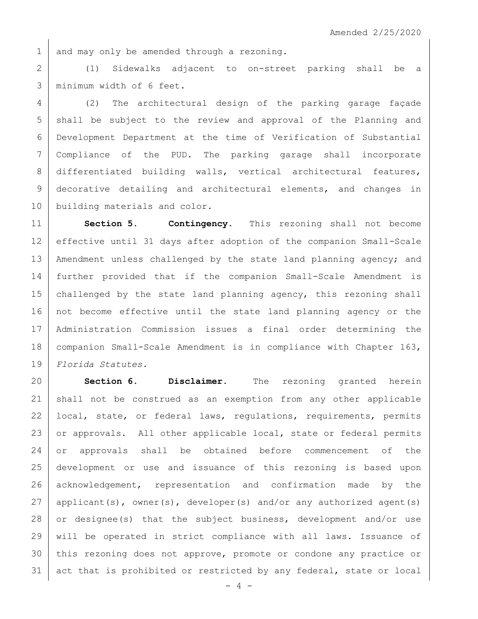1 and may only be amended through a rezoning.

2 (1) Sidewalks adjacent to on-street parking shall be a 3 minimum width of 6 feet.

4 (2) The architectural design of the parking garage façade 5 shall be subject to the review and approval of the Planning and 6 Development Department at the time of Verification of Substantial 7 Compliance of the PUD. The parking garage shall incorporate 8 differentiated building walls, vertical architectural features, 9 decorative detailing and architectural elements, and changes in 10 building materials and color.

11 **Section 5. Contingency.** This rezoning shall not become 12 effective until 31 days after adoption of the companion Small-Scale 13 | Amendment unless challenged by the state land planning agency; and 14 further provided that if the companion Small-Scale Amendment is 15 challenged by the state land planning agency, this rezoning shall 16 not become effective until the state land planning agency or the 17 Administration Commission issues a final order determining the 18 | companion Small-Scale Amendment is in compliance with Chapter 163, 19 *Florida Statutes.*

 **Section 6. Disclaimer.** The rezoning granted herein shall not be construed as an exemption from any other applicable 22 local, state, or federal laws, requiations, requirements, permits 23 or approvals. All other applicable local, state or federal permits or approvals shall be obtained before commencement of the development or use and issuance of this rezoning is based upon 26 acknowledgement, representation and confirmation made by the applicant(s), owner(s), developer(s) and/or any authorized agent(s) 28 or designee(s) that the subject business, development and/or use will be operated in strict compliance with all laws. Issuance of this rezoning does not approve, promote or condone any practice or act that is prohibited or restricted by any federal, state or local

 $- 4 -$